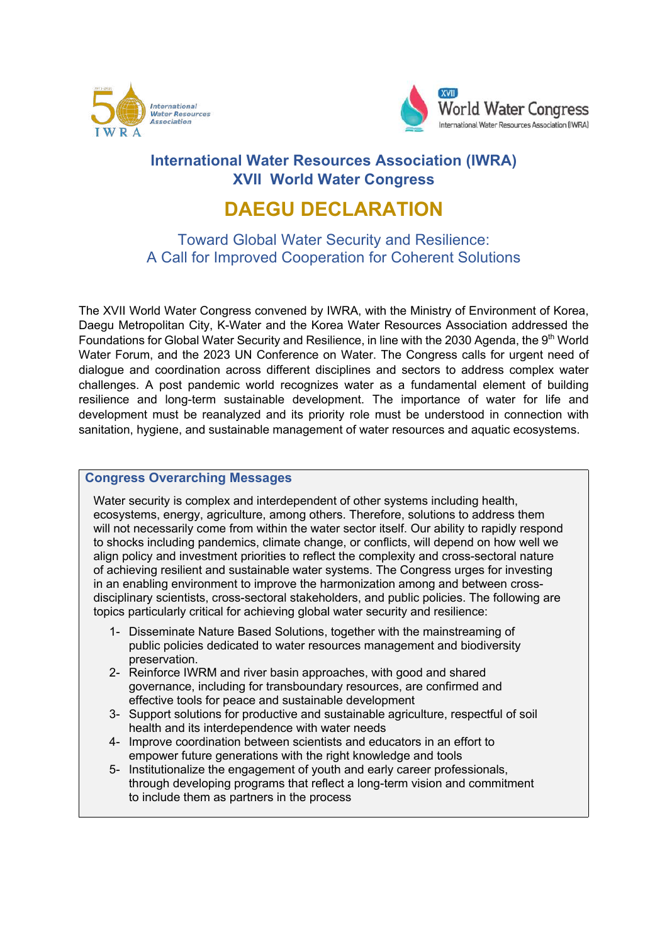



# **International Water Resources Association (IWRA) XVIII World Water Congress**

# **DAEGU DECLARATION**

Toward Global Water Security and Resilience: A Call for Improved Cooperation for Coherent Solutions

The XVII World Water Congress convened by IWRA, with the Ministry of Environment of Korea, Daegu Metropolitan City, K-Water and the Korea Water Resources Association addressed the Foundations for Global Water Security and Resilience, in line with the 2030 Agenda, the 9th World Water Forum, and the 2023 UN Conference on Water. The Congress calls for urgent need of dialogue and coordination across different disciplines and sectors to address complex water challenges. A post pandemic world recognizes water as a fundamental element of building resilience and long-term sustainable development. The importance of water for life and development must be reanalyzed and its priority role must be understood in connection with sanitation, hygiene, and sustainable management of water resources and aquatic ecosystems.

## **Congress Overarching Messages**

Water security is complex and interdependent of other systems including health, ecosystems, energy, agriculture, among others. Therefore, solutions to address them will not necessarily come from within the water sector itself. Our ability to rapidly respond to shocks including pandemics, climate change, or conflicts, will depend on how well we align policy and investment priorities to reflect the complexity and cross-sectoral nature of achieving resilient and sustainable water systems. The Congress urges for investing in an enabling environment to improve the harmonization among and between crossdisciplinary scientists, cross-sectoral stakeholders, and public policies. The following are topics particularly critical for achieving global water security and resilience:

- 1- Disseminate Nature Based Solutions, together with the mainstreaming of public policies dedicated to water resources management and biodiversity preservation.
- 2- Reinforce IWRM and river basin approaches, with good and shared governance, including for transboundary resources, are confirmed and effective tools for peace and sustainable development
- 3- Support solutions for productive and sustainable agriculture, respectful of soil health and its interdependence with water needs
- 4- Improve coordination between scientists and educators in an effort to empower future generations with the right knowledge and tools
- 5- Institutionalize the engagement of youth and early career professionals, through developing programs that reflect a long-term vision and commitment to include them as partners in the process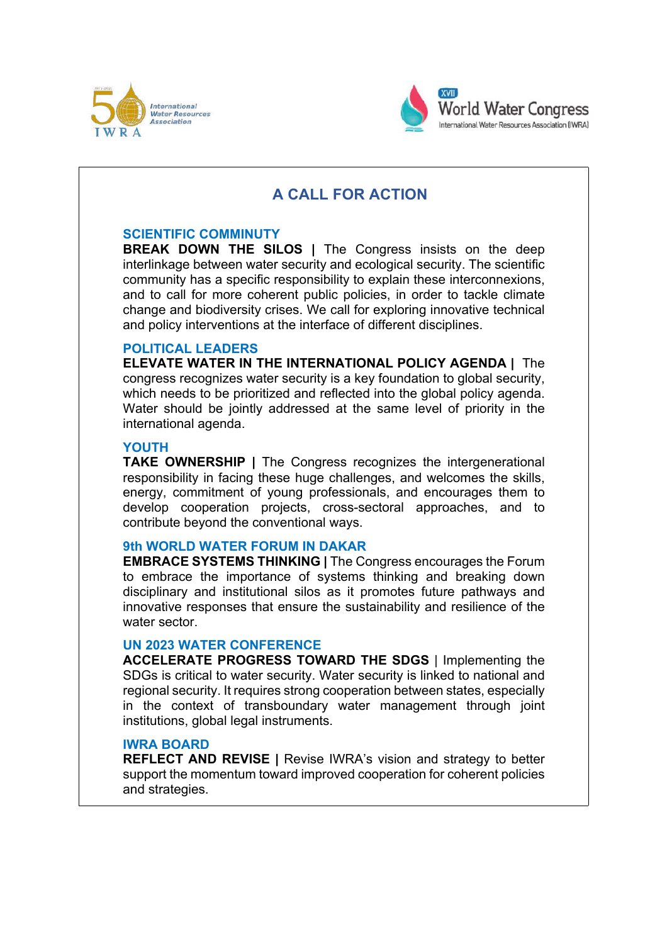



# **A CALL FOR ACTION**

#### **SCIENTIFIC COMMINUTY**

**BREAK DOWN THE SILOS |** The Congress insists on the deep interlinkage between water security and ecological security. The scientific community has a specific responsibility to explain these interconnexions, and to call for more coherent public policies, in order to tackle climate change and biodiversity crises. We call for exploring innovative technical and policy interventions at the interface of different disciplines.

## **POLITICAL LEADERS**

**ELEVATE WATER IN THE INTERNATIONAL POLICY AGENDA |** The congress recognizes water security is a key foundation to global security, which needs to be prioritized and reflected into the global policy agenda. Water should be jointly addressed at the same level of priority in the international agenda.

#### **YOUTH**

**TAKE OWNERSHIP |** The Congress recognizes the intergenerational responsibility in facing these huge challenges, and welcomes the skills, energy, commitment of young professionals, and encourages them to develop cooperation projects, cross-sectoral approaches, and to contribute beyond the conventional ways.

## **9th WORLD WATER FORUM IN DAKAR**

**EMBRACE SYSTEMS THINKING |** The Congress encourages the Forum to embrace the importance of systems thinking and breaking down disciplinary and institutional silos as it promotes future pathways and innovative responses that ensure the sustainability and resilience of the water sector.

#### **UN 2023 WATER CONFERENCE**

**ACCELERATE PROGRESS TOWARD THE SDGS** | Implementing the SDGs is critical to water security. Water security is linked to national and regional security. It requires strong cooperation between states, especially in the context of transboundary water management through joint institutions, global legal instruments.

### **IWRA BOARD**

**REFLECT AND REVISE |** Revise IWRA's vision and strategy to better support the momentum toward improved cooperation for coherent policies and strategies.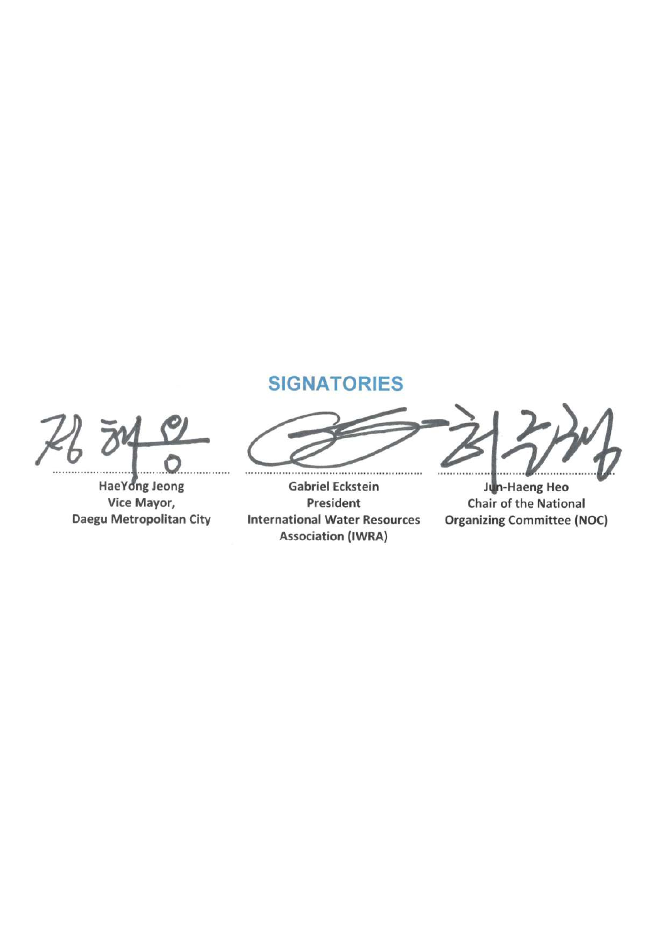$76$ 

**.................................. 0 .. HaeY ngJeong Vice Mayor, Daegu Metropolitan City** 

# **SIGNATORIES**

**Gabriel Eckstein President International Water Resources**  Association **(IWRA)** 

Jun-Haeng Heo **Chair of the National** Organizing Committee (NOC)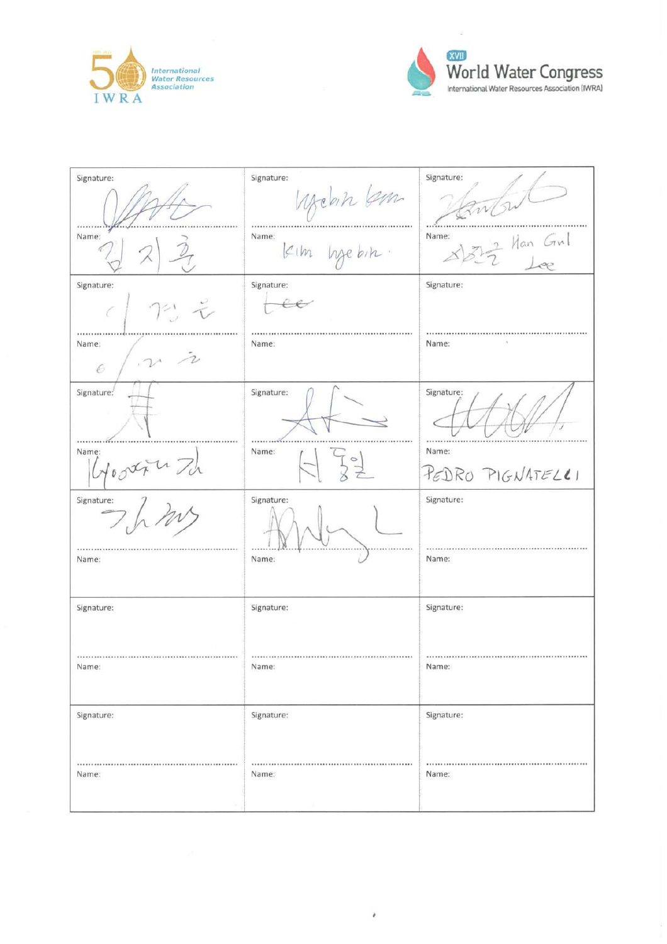



ó,

| Signature: | Signature:               | Signature:                      |
|------------|--------------------------|---------------------------------|
|            | Mehn km                  | w                               |
| Name:      | Name:<br>Kim hjebin.     | Name:<br>$\frac{2}{2}$ Han Girl |
| Signature: | Signature:               | Signature:                      |
| 72.7<br>C  | $\overline{\mathscr{C}}$ |                                 |
| Name:<br>6 | Name:                    | Name:                           |
| Signature: | Signature:               | Signature:                      |
| Name:      | Name:                    | Name:                           |
| Goodru Th  | $\frac{1}{2}$            | PEDRO PIGNATELLI                |
| Signature: | Signature:               | Signature:                      |
| Name:      | Name:                    | Name:                           |
| Signature: | Signature:               | Signature:                      |
| Name:      | Name:                    | <br>Name:                       |
| Signature: | Signature:               | Signature:                      |
| Name:      | Name:                    | Name:                           |

 $\theta$